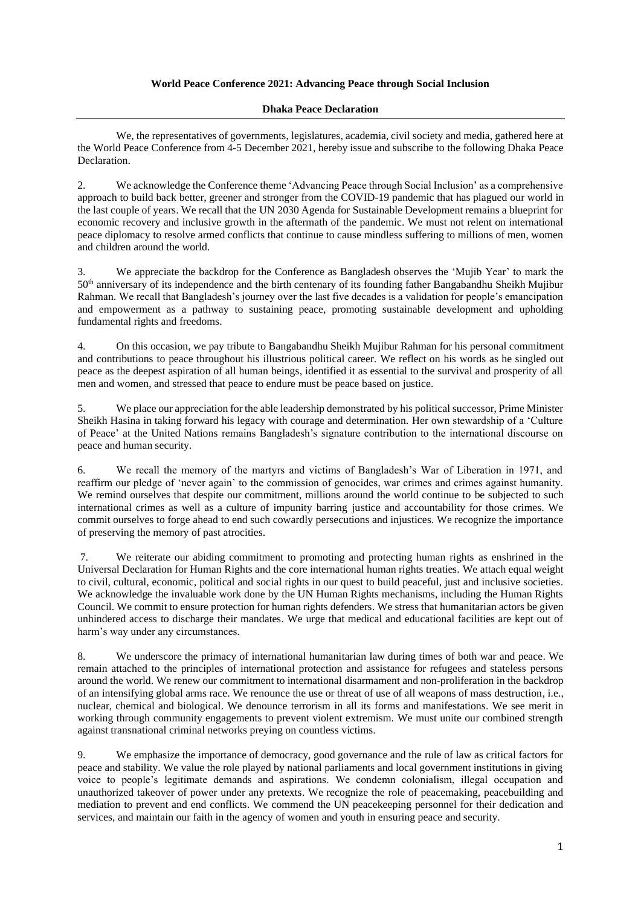## **World Peace Conference 2021: Advancing Peace through Social Inclusion**

## **Dhaka Peace Declaration**

We, the representatives of governments, legislatures, academia, civil society and media, gathered here at the World Peace Conference from 4-5 December 2021, hereby issue and subscribe to the following Dhaka Peace Declaration.

2. We acknowledge the Conference theme 'Advancing Peace through Social Inclusion' as a comprehensive approach to build back better, greener and stronger from the COVID-19 pandemic that has plagued our world in the last couple of years. We recall that the UN 2030 Agenda for Sustainable Development remains a blueprint for economic recovery and inclusive growth in the aftermath of the pandemic. We must not relent on international peace diplomacy to resolve armed conflicts that continue to cause mindless suffering to millions of men, women and children around the world.

3. We appreciate the backdrop for the Conference as Bangladesh observes the 'Mujib Year' to mark the 50th anniversary of its independence and the birth centenary of its founding father Bangabandhu Sheikh Mujibur Rahman. We recall that Bangladesh's journey over the last five decades is a validation for people's emancipation and empowerment as a pathway to sustaining peace, promoting sustainable development and upholding fundamental rights and freedoms.

4. On this occasion, we pay tribute to Bangabandhu Sheikh Mujibur Rahman for his personal commitment and contributions to peace throughout his illustrious political career. We reflect on his words as he singled out peace as the deepest aspiration of all human beings, identified it as essential to the survival and prosperity of all men and women, and stressed that peace to endure must be peace based on justice.

5. We place our appreciation for the able leadership demonstrated by his political successor, Prime Minister Sheikh Hasina in taking forward his legacy with courage and determination. Her own stewardship of a 'Culture of Peace' at the United Nations remains Bangladesh's signature contribution to the international discourse on peace and human security.

6. We recall the memory of the martyrs and victims of Bangladesh's War of Liberation in 1971, and reaffirm our pledge of 'never again' to the commission of genocides, war crimes and crimes against humanity. We remind ourselves that despite our commitment, millions around the world continue to be subjected to such international crimes as well as a culture of impunity barring justice and accountability for those crimes. We commit ourselves to forge ahead to end such cowardly persecutions and injustices. We recognize the importance of preserving the memory of past atrocities.

7. We reiterate our abiding commitment to promoting and protecting human rights as enshrined in the Universal Declaration for Human Rights and the core international human rights treaties. We attach equal weight to civil, cultural, economic, political and social rights in our quest to build peaceful, just and inclusive societies. We acknowledge the invaluable work done by the UN Human Rights mechanisms, including the Human Rights Council. We commit to ensure protection for human rights defenders. We stress that humanitarian actors be given unhindered access to discharge their mandates. We urge that medical and educational facilities are kept out of harm's way under any circumstances.

8. We underscore the primacy of international humanitarian law during times of both war and peace. We remain attached to the principles of international protection and assistance for refugees and stateless persons around the world. We renew our commitment to international disarmament and non-proliferation in the backdrop of an intensifying global arms race. We renounce the use or threat of use of all weapons of mass destruction, i.e., nuclear, chemical and biological. We denounce terrorism in all its forms and manifestations. We see merit in working through community engagements to prevent violent extremism. We must unite our combined strength against transnational criminal networks preying on countless victims.

9. We emphasize the importance of democracy, good governance and the rule of law as critical factors for peace and stability. We value the role played by national parliaments and local government institutions in giving voice to people's legitimate demands and aspirations. We condemn colonialism, illegal occupation and unauthorized takeover of power under any pretexts. We recognize the role of peacemaking, peacebuilding and mediation to prevent and end conflicts. We commend the UN peacekeeping personnel for their dedication and services, and maintain our faith in the agency of women and youth in ensuring peace and security.